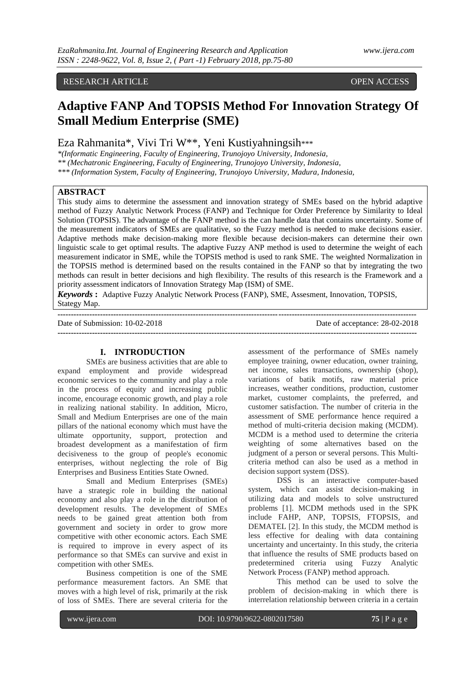# RESEARCH ARTICLE **CONSERVERS** OPEN ACCESS

# **Adaptive FANP And TOPSIS Method For Innovation Strategy Of Small Medium Enterprise (SME)**

# Eza Rahmanita\*, Vivi Tri W\*\*, Yeni Kustiyahningsih\*\*\*

*\*(Informatic Engineering, Faculty of Engineering, Trunojoyo University, Indonesia, \*\* (Mechatronic Engineering, Faculty of Engineering, Trunojoyo University, Indonesia, \*\*\* (Information System, Faculty of Engineering, Trunojoyo University, Madura, Indonesia,* 

# **ABSTRACT**

This study aims to determine the assessment and innovation strategy of SMEs based on the hybrid adaptive method of Fuzzy Analytic Network Process (FANP) and Technique for Order Preference by Similarity to Ideal Solution (TOPSIS). The advantage of the FANP method is the can handle data that contains uncertainty. Some of the measurement indicators of SMEs are qualitative, so the Fuzzy method is needed to make decisions easier. Adaptive methods make decision-making more flexible because decision-makers can determine their own linguistic scale to get optimal results. The adaptive Fuzzy ANP method is used to determine the weight of each measurement indicator in SME, while the TOPSIS method is used to rank SME. The weighted Normalization in the TOPSIS method is determined based on the results contained in the FANP so that by integrating the two methods can result in better decisions and high flexibility. The results of this research is the Framework and a priority assessment indicators of Innovation Strategy Map (ISM) of SME.

*Keywords* **:** Adaptive Fuzzy Analytic Network Process (FANP), SME, Assesment, Innovation, TOPSIS, Stategy Map. **---------------------------------------------------------------------------------------------------------------------------------------**

Date of Submission: 10-02-2018 Date of acceptance: 28-02-2018 **---------------------------------------------------------------------------------------------------------------------------------------**

#### **I. INTRODUCTION**

SMEs are business activities that are able to expand employment and provide widespread economic services to the community and play a role in the process of equity and increasing public income, encourage economic growth, and play a role in realizing national stability. In addition, Micro, Small and Medium Enterprises are one of the main pillars of the national economy which must have the ultimate opportunity, support, protection and broadest development as a manifestation of firm decisiveness to the group of people's economic enterprises, without neglecting the role of Big Enterprises and Business Entities State Owned.

Small and Medium Enterprises (SMEs) have a strategic role in building the national economy and also play a role in the distribution of development results. The development of SMEs needs to be gained great attention both from government and society in order to grow more competitive with other economic actors. Each SME is required to improve in every aspect of its performance so that SMEs can survive and exist in competition with other SMEs.

Business competition is one of the SME performance measurement factors. An SME that moves with a high level of risk, primarily at the risk of loss of SMEs. There are several criteria for the

assessment of the performance of SMEs namely employee training, owner education, owner training, net income, sales transactions, ownership (shop), variations of batik motifs, raw material price increases, weather conditions, production, customer market, customer complaints, the preferred, and customer satisfaction. The number of criteria in the assessment of SME performance hence required a method of multi-criteria decision making (MCDM). MCDM is a method used to determine the criteria weighting of some alternatives based on the judgment of a person or several persons. This Multicriteria method can also be used as a method in decision support system (DSS).

DSS is an interactive computer-based system, which can assist decision-making in utilizing data and models to solve unstructured problems [1]. MCDM methods used in the SPK include FAHP, ANP, TOPSIS, FTOPSIS, and DEMATEL [2]. In this study, the MCDM method is less effective for dealing with data containing uncertainty and uncertainty. In this study, the criteria that influence the results of SME products based on predetermined criteria using Fuzzy Analytic Network Process (FANP) method approach.

This method can be used to solve the problem of decision-making in which there is interrelation relationship between criteria in a certain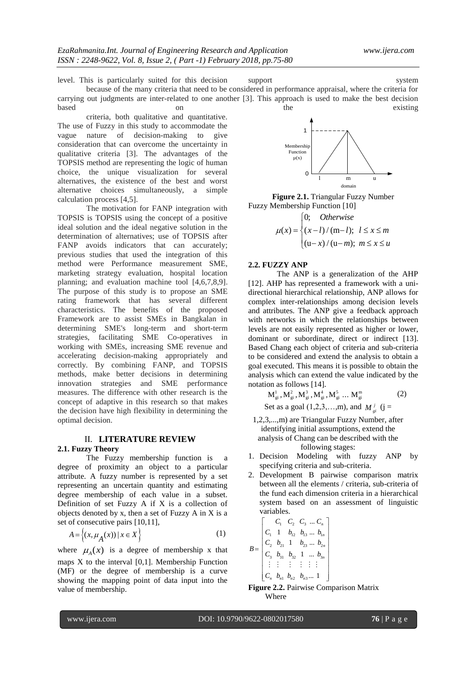level. This is particularly suited for this decision support system

because of the many criteria that need to be considered in performance appraisal, where the criteria for carrying out judgments are inter-related to one another [3]. This approach is used to make the best decision based on on the existing

criteria, both qualitative and quantitative. The use of Fuzzy in this study to accommodate the vague nature of decision-making to give consideration that can overcome the uncertainty in qualitative criteria [3]. The advantages of the TOPSIS method are representing the logic of human choice, the unique visualization for several alternatives, the existence of the best and worst alternative choices simultaneously, a simple calculation process [4,5].

The motivation for FANP integration with TOPSIS is TOPSIS using the concept of a positive ideal solution and the ideal negative solution in the determination of alternatives; use of TOPSIS after FANP avoids indicators that can accurately; previous studies that used the integration of this method were Performance measurement SME, marketing strategy evaluation, hospital location planning; and evaluation machine tool [4,6,7,8,9]. The purpose of this study is to propose an SME rating framework that has several different characteristics. The benefits of the proposed Framework are to assist SMEs in Bangkalan in determining SME's long-term and short-term strategies, facilitating SME Co-operatives in working with SMEs, increasing SME revenue and accelerating decision-making appropriately and correctly. By combining FANP, and TOPSIS methods, make better decisions in determining innovation strategies and SME performance measures. The difference with other research is the concept of adaptive in this research so that makes the decision have high flexibility in determining the optimal decision.

#### II. **LITERATURE REVIEW 2.1. Fuzzy Theory**

The Fuzzy membership function is a degree of proximity an object to a particular attribute. A fuzzy number is represented by a set representing an uncertain quantity and estimating degree membership of each value in a subset. Definition of set Fuzzy A if X is a collection of objects denoted by x, then a set of Fuzzy A in X is a set of consecutive pairs [10,11],

$$
A = \left\{ (x, \mu_A(x)) \mid x \in X \right\}
$$
 (1)

where  $\mu_A(x)$  is a degree of membership x that maps X to the interval [0,1]. Membership Function (MF) or the degree of membership is a curve showing the mapping point of data input into the value of membership.



**Figure 2.1.** Triangular Fuzzy Number Fuzzy Membership Function [10]

$$
\mu(x) = \begin{cases} 0; & \text{Otherwise} \\ (x-l)/(m-l); & l \le x \le m \\ (u-x)/(u-m); & m \le x \le u \end{cases}
$$

#### **2.2. FUZZY ANP**

The ANP is a generalization of the AHP [12]. AHP has represented a framework with a unidirectional hierarchical relationship, ANP allows for complex inter-relationships among decision levels and attributes. The ANP give a feedback approach with networks in which the relationships between levels are not easily represented as higher or lower, dominant or subordinate, direct or indirect [13]. Based Chang each object of criteria and sub-criteria to be considered and extend the analysis to obtain a goal executed. This means it is possible to obtain the analysis which can extend the value indicated by the

notation as follows [14].  
\n
$$
M_{gi}^1, M_{gi}^2, M_{gi}^3, M_{gi}^4, M_{gi}^5, ... M_{gi}^m
$$
 (2)  
\nSet as a goal (1,2,3,...,m), and  $M_{gi}^j$  (j =

- 1,2,3,...,m) are Triangular Fuzzy Number, after identifying initial assumptions, extend the analysis of Chang can be described with the following stages:
- 1. Decision Modeling with fuzzy ANP by specifying criteria and sub-criteria.
- 2. Development B pairwise comparison matrix between all the elements / criteria, sub-criteria of the fund each dimension criteria in a hierarchical system based on an assessment of linguistic variables.

$$
B = \begin{bmatrix} C_1 & C_2 & C_3 & \dots & C_n \\ C_1 & 1 & b_{12} & b_{13} & \dots & b_{1n} \\ C_2 & b_{21} & 1 & b_{23} & \dots & b_{2n} \\ C_3 & b_{31} & b_{32} & 1 & \dots & b_{3n} \\ \vdots & \vdots & \vdots & \vdots & \vdots & \vdots \\ C_n & b_{n1} & b_{n2} & b_{n3} & \dots & 1 \end{bmatrix}
$$

**Figure 2.2.** Pairwise Comparison Matrix Where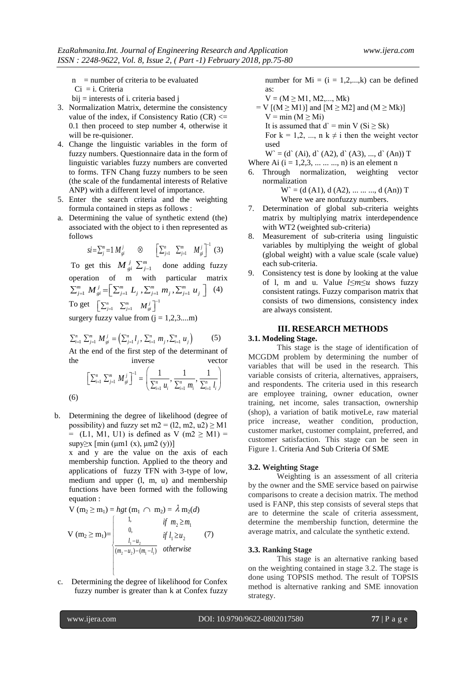$n$  = number of criteria to be evaluated

Ci = i. Criteria

- bij = interests of i. criteria based j
- 3. Normalization Matrix, determine the consistency value of the index, if Consistency Ratio  $(CR) \leq$ 0.1 then proceed to step number 4, otherwise it will be re-quisioner.
- 4. Change the linguistic variables in the form of fuzzy numbers. Questionnaire data in the form of linguistic variables fuzzy numbers are converted to forms. TFN Chang fuzzy numbers to be seen (the scale of the fundamental interests of Relative ANP) with a different level of importance.
- 5. Enter the search criteria and the weighting formula contained in steps as follows :
- a. Determining the value of synthetic extend (the) associated with the object to i then represented as follows

ows  
\n
$$
si = \sum_{j=1}^{m} M_{gi}^{j}
$$
  $\otimes$   $\left[ \sum_{j=1}^{n} \sum_{j=1}^{m} M_{gi}^{j} \right]^{-1}$  (3)

To get this  $M_{gi}^j \sum_{j=1}^m$  done adding fuzzy operation of m with particular matrix pperation of m with particular matrix  $\sum_{j=1}^{m} M_{gi}^{j} = \left[ \sum_{j=1}^{m} L_j \sum_{j=1}^{m} m_j \sum_{j=1}^{m} u_j \right]$  (4) (4) To get  $\left[\sum_{j=1}^n \sum_{j=1}^m M_{gi}^j\right]^{-1}$ 

surgery fuzzy value from  $(j = 1, 2, 3,...m)$ 

$$
\sum_{i=1}^{n} \sum_{j=1}^{m} M_{gi}^{j} = \left(\sum_{j=1}^{n} l_j, \sum_{i=1}^{n} m_j, \sum_{i=1}^{n} u_j\right)
$$
 (5)

At the end of the first step of the determinant of the inverse vector

inverse vector  

$$
\left[\sum_{i=1}^{n} \sum_{j=1}^{m} M_{gi}^{i}\right]^{-1} = \left(\frac{1}{\sum_{i=1}^{n} u_{i}}, \frac{1}{\sum_{i=1}^{n} m_{i}}, \frac{1}{\sum_{i=1}^{n} l_{i}}\right)
$$

b. Determining the degree of likelihood (degree of possibility) and fuzzy set m $2 = (12, m2, u2) \geq M1$  $=$  (L1, M1, U1) is defined as V (m2  $\geq$  M1) = supy $\geq$ x [min (μm1 (x), μm2 (y))]

x and y are the value on the axis of each membership function. Applied to the theory and applications of fuzzy TFN with 3-type of low, medium and upper (l, m, u) and membership functions have been formed with the following equation :

$$
V (m_2 \ge m_1) = hgt (m_1 \cap m_2) = \lambda m_2(d)
$$
  
\n
$$
V (m_2 \ge m_1) = \begin{cases} 1, & \text{if } m_2 \ge m_1 \\ 0, & \text{if } l_1 \ge u_2 \\ \frac{l_1 - u_2}{(m_2 - u_2) - (m_1 - l_1)} & \text{otherwise} \end{cases}
$$
(7)

c. Determining the degree of likelihood for Confex fuzzy number is greater than k at Confex fuzzy number for  $Mi = (i = 1, 2, \dots, k)$  can be defined as:

$$
V = (M \ge M1, M2,..., Mk)
$$

 $=$  V  $[(M \ge M1)]$  and  $[M \ge M2]$  and  $(M \ge Mk)]$  $V = min (M \geq Mi)$ It is assumed that  $d' = min V(Si \ge Sk)$ For  $k = 1, 2, ..., n$  k  $\neq i$  then the weight vector used

 $W = (d (Ai), d (A2), d (A3), ..., d (An)) T$ Where Ai  $(i = 1, 2, 3, \ldots, m)$  is an element n

6. Through normalization, weighting vector normalization

$$
W = (d (A1), d (A2), \dots \dots \dots, d (An))
$$
   
Where we are nonfuzzy numbers.

- 7. Determination of global sub-criteria weights matrix by multiplying matrix interdependence with WT2 (weighted sub-criteria)
- 8. Measurement of sub-criteria using linguistic variables by multiplying the weight of global (global weight) with a value scale (scale value) each sub-criteria.
- 9. Consistency test is done by looking at the value of 1, m and u. Value  $l \leq m \leq u$  shows fuzzy consistent ratings. Fuzzy comparison matrix that consists of two dimensions, consistency index are always consistent.

#### **III. RESEARCH METHODS**

#### **3.1. Modeling Stage.**

This stage is the stage of identification of MCGDM problem by determining the number of variables that will be used in the research. This variable consists of criteria, alternatives, appraisers, and respondents. The criteria used in this research are employee training, owner education, owner training, net income, sales transaction, ownership (shop), a variation of batik motiveLe, raw material price increase, weather condition, production, customer market, customer complaint, preferred, and customer satisfaction. This stage can be seen in Figure 1. Criteria And Sub Criteria Of SME

# **3.2. Weighting Stage**

Weighting is an assessment of all criteria by the owner and the SME service based on pairwise comparisons to create a decision matrix. The method used is FANP, this step consists of several steps that are to determine the scale of criteria assessment, determine the membership function, determine the average matrix, and calculate the synthetic extend.

#### **3.3. Ranking Stage**

This stage is an alternative ranking based on the weighting contained in stage 3.2. The stage is done using TOPSIS method. The result of TOPSIS method is alternative ranking and SME innovation strategy.

L

U

(6)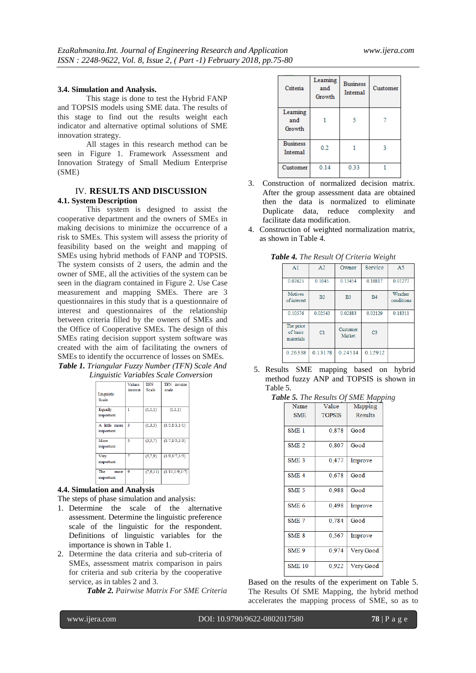#### **3.4. Simulation and Analysis.**

This stage is done to test the Hybrid FANP and TOPSIS models using SME data. The results of this stage to find out the results weight each indicator and alternative optimal solutions of SME innovation strategy.

All stages in this research method can be seen in Figure 1. Framework Assessment and Innovation Strategy of Small Medium Enterprise (SME)

# IV. **RESULTS AND DISCUSSION 4.1. System Description**

This system is designed to assist the cooperative department and the owners of SMEs in making decisions to minimize the occurrence of a risk to SMEs. This system will assess the priority of feasibility based on the weight and mapping of SMEs using hybrid methods of FANP and TOPSIS. The system consists of 2 users, the admin and the owner of SME, all the activities of the system can be seen in the diagram contained in Figure 2. Use Case measurement and mapping SMEs. There are 3 questionnaires in this study that is a questionnaire of interest and questionnaires of the relationship between criteria filled by the owners of SMEs and the Office of Cooperative SMEs. The design of this SMEs rating decision support system software was created with the aim of facilitating the owners of SMEs to identify the occurrence of losses on SMEs. *Table 1. Triangular Fuzzy Number (TFN) Scale And* 

|  |  | Linguistic Variables Scale Conversion |
|--|--|---------------------------------------|
|--|--|---------------------------------------|

| Linguistic<br><b>Scale</b> | Values<br>interest | TFN<br><b>Scale</b> | TFN inverse<br>scale |
|----------------------------|--------------------|---------------------|----------------------|
| Equally<br>important       | 1                  | (1,1,1)             | (1,1,1)              |
| A little more<br>important | 3                  | (1,3,5)             | (1/5, 1/3, 1/1)      |
| More<br>important          | 5                  | (3,5,7)             | (1/7, 1/5, 1/3)      |
| Very<br>important          |                    | (5,7,9)             | (1/9,1/7,1/5)        |
| The<br>most<br>important   | 9                  | (7.9.11)            | (1/11, 1/9, 1/7)     |

## **4.4. Simulation and Analysis**

The steps of phase simulation and analysis:

- 1. Determine the scale of the alternative assessment. Determine the linguistic preference scale of the linguistic for the respondent. Definitions of linguistic variables for the importance is shown in Table 1.
- 2. Determine the data criteria and sub-criteria of SMEs, assessment matrix comparison in pairs for criteria and sub criteria by the cooperative service, as in tables 2 and 3.

*Table 2. Pairwise Matrix For SME Criteria*

| Criteria                    | Learning<br>and<br>Growth | <b>Business</b><br>Internal | Customer |
|-----------------------------|---------------------------|-----------------------------|----------|
| Learning<br>and<br>Growth   |                           | 5                           |          |
| <b>Business</b><br>Internal | 0.2                       |                             |          |
| Customer                    | 0.14                      | 0.33                        |          |

- 3. Construction of normalized decision matrix. After the group assessment data are obtained then the data is normalized to eliminate Duplicate data, reduce complexity and facilitate data modification.
- 4. Construction of weighted normalization matrix, as shown in Table 4.

| A <sub>1</sub>                     | A <sub>2</sub> | Owner              | Service        | A <sub>5</sub>        |
|------------------------------------|----------------|--------------------|----------------|-----------------------|
| 0.07625                            | 0.1045         | 0.13454            | 0.10817        | 0.01277               |
| <b>Motives</b><br>of interest      | B <sub>2</sub> | B <sub>3</sub>     | B <sub>4</sub> | Weather<br>conditions |
| 0.10576                            | 0.02543        | 0.02883            | 0.02129        | 0.18311               |
| The price<br>of basic<br>materials | C1             | Customer<br>Market | C <sub>3</sub> |                       |
| 0.26338                            | 0.13178        | 0.24514            | 0.12912        |                       |

*Table 4. The Result Of Criteria Weight*

5. Results SME mapping based on hybrid method fuzzy ANP and TOPSIS is shown in Table 5.

|  |  |  |  | Table 5. The Results Of SME Mapping |
|--|--|--|--|-------------------------------------|
|--|--|--|--|-------------------------------------|

| Name             | Value         | Mapping   |
|------------------|---------------|-----------|
| <b>SME</b>       | <b>TOPSIS</b> | Results   |
| SME <sub>1</sub> | 0,878         | Good      |
| SME <sub>2</sub> | 0,807         | Good      |
| SME <sub>3</sub> | 0,477         | Improve   |
| SME <sub>4</sub> | 0,678         | Good      |
| SME <sub>5</sub> | 0,988         | Good      |
| SME <sub>6</sub> | 0,498         | Improve   |
| SME <sub>7</sub> | 0.784         | Good      |
| SME <sub>8</sub> | 0,567         | Improve   |
| SME <sub>9</sub> | 0,974         | Very Good |
| <b>SME 10</b>    | 0.922         | Very Good |

Based on the results of the experiment on Table 5. The Results Of SME Mapping, the hybrid method accelerates the mapping process of SME, so as to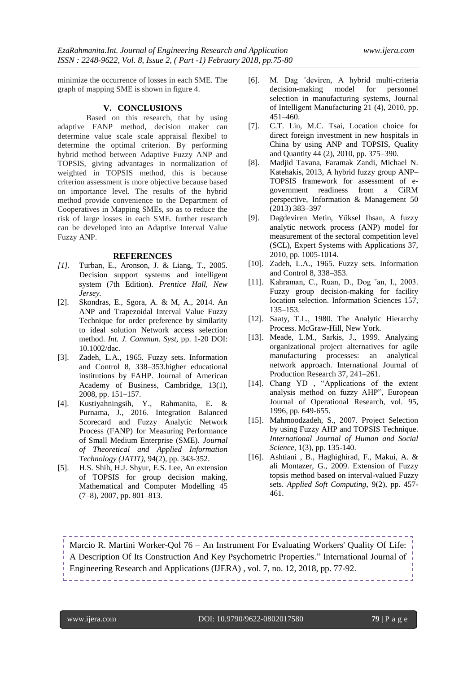minimize the occurrence of losses in each SME. The graph of mapping SME is shown in figure 4.

#### **V. CONCLUSIONS**

Based on this research, that by using adaptive FANP method, decision maker can determine value scale scale appraisal flexibel to determine the optimal criterion. By performing hybrid method between Adaptive Fuzzy ANP and TOPSIS, giving advantages in normalization of weighted in TOPSIS method, this is because criterion assessment is more objective because based on importance level. The results of the hybrid method provide convenience to the Department of Cooperatives in Mapping SMEs, so as to reduce the risk of large losses in each SME. further research can be developed into an Adaptive Interval Value Fuzzy ANP.

#### **REFERENCES**

- *[1].* Turban, E., Aronson, J. & Liang, T., 2005. Decision support systems and intelligent system (7th Edition). *Prentice Hall, New Jersey.*
- [2]. Skondras, E., Sgora, A. & M, A., 2014. An ANP and Trapezoidal Interval Value Fuzzy Technique for order preference by similarity to ideal solution Network access selection method. *Int. J. Commun. Syst,* pp. 1-20 DOI: 10.1002/dac.
- [3]. Zadeh, L.A., 1965. Fuzzy sets. Information and Control 8, 338–353.higher educational institutions by FAHP. Journal of American Academy of Business, Cambridge, 13(1), 2008, pp. 151–157.
- [4]. Kustiyahningsih, Y., Rahmanita, E. & Purnama, J., 2016. Integration Balanced Scorecard and Fuzzy Analytic Network Process (FANP) for Measuring Performance of Small Medium Enterprise (SME). *Journal of Theoretical and Applied Information Technology (JATIT),* 94(2), pp. 343-352.
- [5]. H.S. Shih, H.J. Shyur, E.S. Lee, An extension of TOPSIS for group decision making, Mathematical and Computer Modelling 45 (7–8), 2007, pp. 801–813.
- [6]. M. Dag ˘deviren, A hybrid multi-criteria decision-making model for personnel selection in manufacturing systems, Journal of Intelligent Manufacturing 21 (4), 2010, pp. 451–460.
- [7]. C.T. Lin, M.C. Tsai, Location choice for direct foreign investment in new hospitals in China by using ANP and TOPSIS, Quality and Quantity 44 (2), 2010, pp. 375–390.
- [8]. Madjid Tavana, Faramak Zandi, Michael N. Katehakis, 2013, A hybrid fuzzy group ANP– TOPSIS framework for assessment of egovernment readiness from a CiRM perspective, Information & Management 50 (2013) 383–397
- [9]. Dagdeviren Metin, Yüksel Ihsan, A fuzzy analytic network process (ANP) model for measurement of the sectoral competition level (SCL), Expert Systems with Applications 37, 2010, pp. 1005-1014.
- [10]. Zadeh, L.A., 1965. Fuzzy sets. Information and Control 8, 338–353.
- [11]. Kahraman, C., Ruan, D., Dog ˘an, I., 2003. Fuzzy group decision-making for facility location selection. Information Sciences 157, 135–153.
- [12]. Saaty, T.L., 1980. The Analytic Hierarchy Process. McGraw-Hill, New York.
- [13]. Meade, L.M., Sarkis, J., 1999. Analyzing organizational project alternatives for agile manufacturing processes: an analytical network approach. International Journal of Production Research 37, 241–261.
- [14]. Chang YD , "Applications of the extent analysis method on fuzzy AHP", European Journal of Operational Research, vol. 95, 1996, pp. 649-655.
- [15]. Mahmoodzadeh, S., 2007. Project Selection by using Fuzzy AHP and TOPSIS Technique. *International Journal of Human and Social Science,* 1(3), pp. 135-140.
- [16]. Ashtiani , B., Haghighirad, F., Makui, A. & ali Montazer, G., 2009. Extension of Fuzzy topsis method based on interval-valued Fuzzy sets. *Applied Soft Computing,* 9(2), pp. 457- 461.

Marcio R. Martini Worker-Qol 76 – An Instrument For Evaluating Workers' Quality Of Life: A Description Of Its Construction And Key Psychometric Properties." International Journal of Engineering Research and Applications (IJERA) , vol. 7, no. 12, 2018, pp. 77-92.